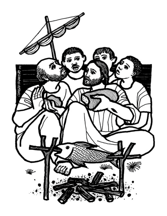